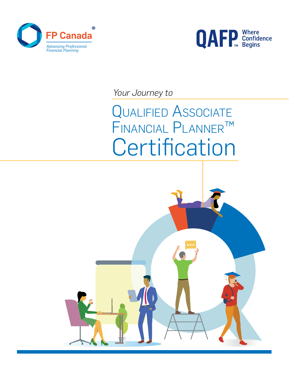



*Your Journey to*

QUALIFIED ASSOCIATE financial Planner™ **Certification** 

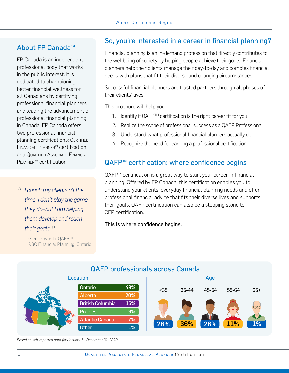### About FP Canada™

FP Canada is an independent professional body that works in the public interest. It is dedicated to championing better financial wellness for all Canadians by certifying professional financial planners and leading the advancement of professional financial planning in Canada. FP Canada offers two professional financial planning certifications: CERTIFIED Financial Planner® certification and Qualified Associate Financial PLANNER<sup>™</sup> certification.

*" I coach my clients all the time. I don't play the game– they do–but I am helping them develop and reach their goals.* "<br>- Glen Dilworth, OAFP™

RBC Financial Planning, Ontario

## So, you're interested in a career in financial planning?

Financial planning is an in-demand profession that directly contributes to the wellbeing of society by helping people achieve their goals. Financial planners help their clients manage their day-to-day and complex financial needs with plans that fit their diverse and changing circumstances.

Successful financial planners are trusted partners through all phases of their clients' lives.

This brochure will help you:

- 1. Identify if QAFP<sup>TM</sup> certification is the right career fit for you
- 2. Realize the scope of professional success as a QAFP Professional
- 3. Understand what professional financial planners actually do
- 4. Recognize the need for earning a professional certification

### QAFP<sup>™</sup> certification: where confidence begins

QAFP<sup>™</sup> certification is a great way to start your career in financial planning. Offered by FP Canada, this certification enables you to understand your clients' everyday financial planning needs and offer professional financial advice that fits their diverse lives and supports their goals. QAFP certification can also be a stepping stone to CFP certification.

This is where confidence begins.



#### QAFP professionals across Canada

*Based on self-reported data for January 1 - December 31, 2020.*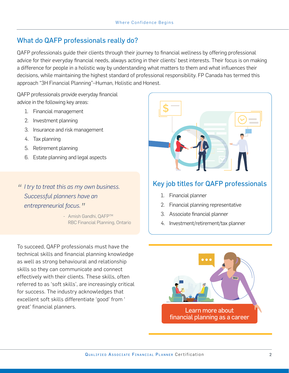#### What do QAFP professionals really do?

QAFP professionals guide their clients through their journey to financial wellness by offering professional advice for their everyday financial needs, always acting in their clients' best interests. Their focus is on making a difference for people in a holistic way by understanding what matters to them and what influences their decisions, while maintaining the highest standard of professional responsibility. FP Canada has termed this approach "3H Financial Planning"–Human, Holistic and Honest.

QAFP professionals provide everyday financial advice in the following key areas:

- 1. Financial management
- 2. Investment planning
- 3. Insurance and risk management
- 4. Tax planning
- 5. Retirement planning
- 6. Estate planning and legal aspects

*" I try to treat this as my own business. Successful planners have an*  **entrepreneurial focus. "**<br>F Amish Gandhi, OAFP™

RBC Financial Planning, Ontario

To succeed, QAFP professionals must have the technical skills and financial planning knowledge as well as strong behavioural and relationship skills so they can communicate and connect effectively with their clients. These skills, often referred to as 'soft skills', are increasingly critical for success. The industry acknowledges that excellent soft skills differentiate 'good' from '



### Key job titles for QAFP professionals

- 1. Financial planner
- 2. Financial planning representative
- 3. Associate financial planner
- 4. Investment/retirement/tax planner

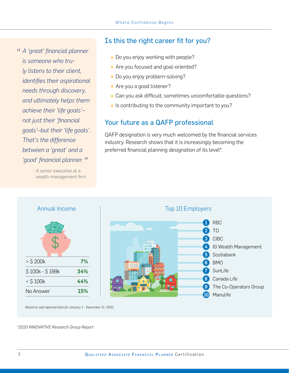# *" A 'great' financial planner is someone who truly listens to their client, identifies their aspirational needs through discovery, and ultimately helps them achieve their 'life goals'– not just their 'financial goals'–but their 'life goals'. That's the difference between a 'great' and a 'good' financial planner. "*

 - A senior executive at a wealth management firm

Annual Income

#### Is this the right career fit for you?

- Do you enjoy working with people?
- Are you focused and goal-oriented?
- Do you enjoy problem-solving?
- Are you a good listener?
- Can you ask difficult, sometimes uncomfortable questions?
- Is contributing to the community important to you?

## Your future as a QAFP professional

QAFP designation is very much welcomed by the financial services industry. Research shows that it is increasingly becoming the preferred financial planning designation of its level\*.

Top 10 Employers

1 RBC 2 TD 3 CIBC

6 BMO 7 SunLife 8 Canada Life

10 Manulife

5 Scotiabank

4 IG Wealth Management

**9** The Co-Operators Group

# *Based on self-reported data for January 1 - December 31, 2020.*

*\*2020 INNOVATIVE Research Group Report*

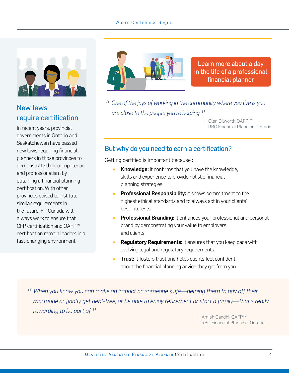#### Where Confidence Begins



## New laws require certification

In recent years, provincial governments in Ontario and Saskatchewan have passed new laws requiring financial planners in those provinces to demonstrate their competence and professionalism by obtaining a financial planning certification. With other provinces poised to institute similar requirements in the future, FP Canada will always work to ensure that CFP certification and QAFP™ certification remain leaders in a fast-changing environment.



Learn more about a day [in the life of a professional](https://www.fpcanada.ca/students-and-candidates/your-career-in-financial-planning) financial planner

- *" One of the joys of working in the community where you live is you are close to the people you're helping. "*
	- Glen Dilworth QAFPTM RBC Financial Planning, Ontario

#### But why do you need to earn a certification?

Getting certified is important because :

- Knowledge: it confirms that you have the knowledge, skills and experience to provide holistic financial planning strategies
- **Professional Responsibility:** it shows commitment to the highest ethical standards and to always act in your clients' best interests
- **Professional Branding:** it enhances your professional and personal brand by demonstrating your value to employers and clients
- **Regulatory Requirements:** it ensures that you keep pace with evolving legal and regulatory requirements
- **Trust:** it fosters trust and helps clients feel confident about the financial planning advice they get from you

*" When you know you can make an impact on someone's life—helping them to pay off their mortgage or finally get debt-free, or be able to enjoy retirement or start a family—that's really rewarding to be part of.*  $''$  - Amish Gandhi, QAFP™

RBC Financial Planning, Ontario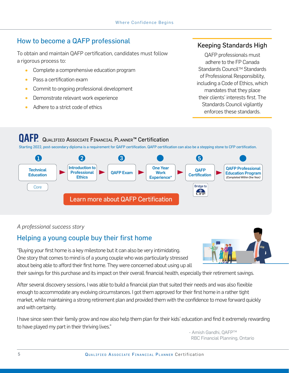## How to become a QAFP professional

To obtain and maintain QAFP certification, candidates must follow a rigorous process to:

- Complete a comprehensive education program
- Pass a certification exam
- Commit to ongoing professional development
- Demonstrate relevant work experience
- Adhere to a strict code of ethics

### Keeping Standards High

QAFP professionals must adhere to the FP Canada Standards Council<sup>™</sup> Standards of Professional Responsibility, including a Code of Ethics, which mandates that they place their clients' interests first. The Standards Council vigilantly enforces these standards.

# **OAFP** QUALIFIED ASSOCIATE FINANCIAL PLANNER<sup>™</sup> Certification

Starting 2022, post-secondary diploma is a requirement for QAFP certification. QAFP certification can also be a stepping stone to CFP certification.



#### *A professional success story*

## Helping a young couple buy their first home

"Buying your first home is a key milestone but it can also be very intimidating. One story that comes to mind is of a young couple who was particularly stressed about being able to afford their first home. They were concerned about using up all

their savings for this purchase and its impact on their overall financial health, especially their retirement savings.

After several discovery sessions, I was able to build a financial plan that suited their needs and was also flexible enough to accommodate any evolving circumstances. I got them approved for their first home in a rather tight market, while maintaining a strong retirement plan and provided them with the confidence to move forward quickly and with certainty.

I have since seen their family grow and now also help them plan for their kids' education and find it extremely rewarding to have played my part in their thriving lives."

- Amish Gandhi, OAFP™ RBC Financial Planning, Ontario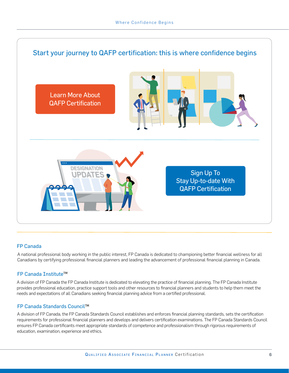

#### FP Canada

A national professional body working in the public interest, FP Canada is dedicated to championing better financial wellness for all Canadians by certifying professional financial planners and leading the advancement of professional financial planning in Canada.

#### FP Canada Institute<sup>™</sup>

A division of FP Canada the FP Canada Institute is dedicated to elevating the practice of financial planning. The FP Canada Institute provides professional education, practice support tools and other resources to financial planners and students to help them meet the needs and expectations of all Canadians seeking financial planning advice from a certified professional.

#### FP Canada Standards CouncilTM

A division of FP Canada, the FP Canada Standards Council establishes and enforces financial planning standards, sets the certification requirements for professional financial planners and develops and delivers certification examinations. The FP Canada Standards Council ensures FP Canada certificants meet appropriate standards of competence and professionalism through rigorous requirements of education, examination, experience and ethics.